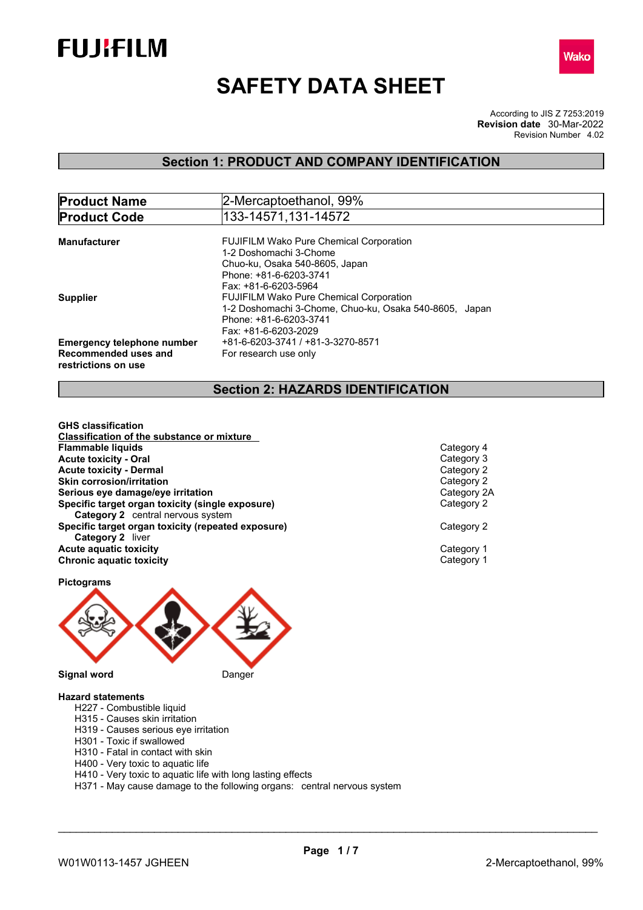



# **SAFETY DATA SHEET**

According to JIS Z 7253:2019 Revision Number 4.02 **Revision date** 30-Mar-2022

# **Section 1: PRODUCT AND COMPANY IDENTIFICATION**

| <b>Product Name</b>               | 2-Mercaptoethanol, 99%                                 |
|-----------------------------------|--------------------------------------------------------|
| <b>Product Code</b>               | 133-14571,131-14572                                    |
|                                   |                                                        |
| <b>Manufacturer</b>               | <b>FUJIFILM Wako Pure Chemical Corporation</b>         |
|                                   | 1-2 Doshomachi 3-Chome                                 |
|                                   | Chuo-ku, Osaka 540-8605, Japan                         |
|                                   | Phone: +81-6-6203-3741                                 |
|                                   | Fax: +81-6-6203-5964                                   |
| <b>Supplier</b>                   | <b>FUJIFILM Wako Pure Chemical Corporation</b>         |
|                                   | 1-2 Doshomachi 3-Chome, Chuo-ku, Osaka 540-8605, Japan |
|                                   | Phone: +81-6-6203-3741                                 |
|                                   | Fax: +81-6-6203-2029                                   |
| <b>Emergency telephone number</b> | +81-6-6203-3741 / +81-3-3270-8571                      |
| Recommended uses and              | For research use only                                  |
|                                   |                                                        |
| restrictions on use               |                                                        |

# **Section 2: HAZARDS IDENTIFICATION**

**GHS classification Classification of the substance or mixture Acute toxicity - Oral Acute toxicity - Dermal Skin corrosion/irritation Serious** eye damage/eye irritation **Specific target organ toxicity (single exposure) Category 2** central nervous system **Specific target organ toxicity (repeated exposure) Category 2** liver **Acute** aquatic toxicity<br> **Chronic aquatic toxicity**<br>
Chronic aquatic toxicity **Chronic aquatic toxicity Flammable liquids** Category 4 Category 4 Category 4 Category 4 Category 4 Category 4 Category 4 Category 4 Category 4 Category 4 Category 4 Category 4 Category 4 Category 4 Category 4 Category 4 Category 4 Category 4 Cate

| Category 2<br>Category 2 | Category 4<br>Category 3<br>Category 2<br>Category 2<br>Category 2A |  |
|--------------------------|---------------------------------------------------------------------|--|
|                          |                                                                     |  |

**Pictograms**



#### **Hazard statements**

- H227 Combustible liquid
- H315 Causes skin irritation
- H319 Causes serious eye irritation
- H301 Toxic if swallowed
- H310 Fatal in contact with skin
- H400 Very toxic to aquatic life
- H410 Very toxic to aquatic life with long lasting effects
- H371 May cause damage to the following organs: central nervous system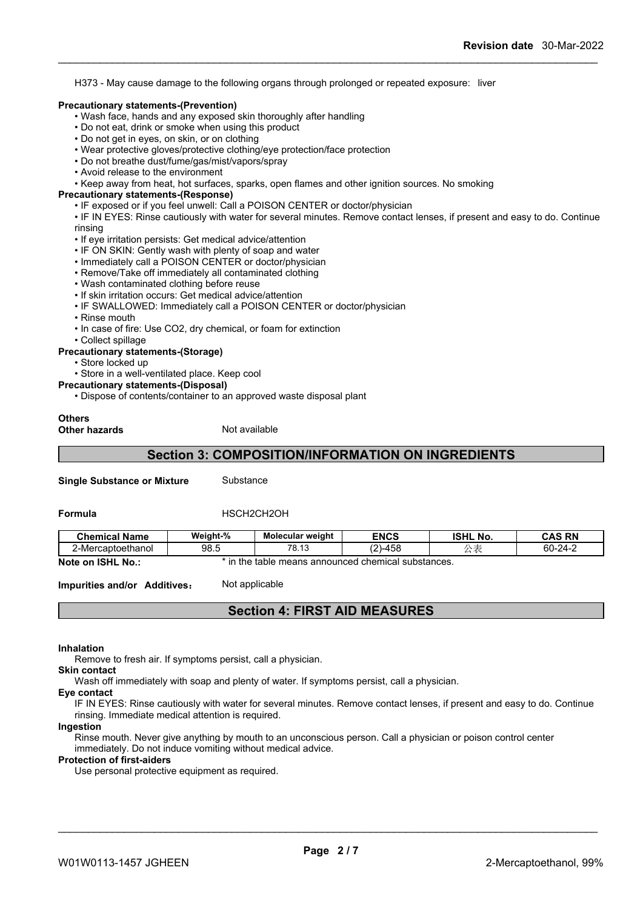H373 - May cause damage to the following organs through prolonged or repeated exposure: liver

#### **Precautionary statements-(Prevention)**

- Wash face, hands and any exposed skin thoroughly after handling
- Do not eat, drink or smoke when using this product
- Do not get in eyes, on skin, or on clothing
- Wear protective gloves/protective clothing/eye protection/face protection
- Do not breathe dust/fume/gas/mist/vapors/spray
- Avoid release to the environment
- Keep away from heat, hot surfaces, sparks, open flames and other ignition sources. No smoking

#### **Precautionary statements-(Response)**

• IF exposed or if you feel unwell: Call a POISON CENTER or doctor/physician

• IF IN EYES: Rinse cautiously with water for several minutes. Remove contact lenses, if present and easy to do. Continue rinsing

- If eye irritation persists: Get medical advice/attention
- IF ON SKIN: Gently wash with plenty of soap and water
- Immediately call a POISON CENTER or doctor/physician
- Remove/Take off immediately all contaminated clothing
- Wash contaminated clothing before reuse
- If skin irritation occurs: Get medical advice/attention
- IF SWALLOWED: Immediately call a POISON CENTER or doctor/physician
- Rinse mouth
- In case of fire: Use CO2, dry chemical, or foam for extinction
- Collect spillage

# **Precautionary statements-(Storage)**

- Store locked up
- Store in a well-ventilated place. Keep cool

#### **Precautionary statements-(Disposal)**

• Dispose of contents/container to an approved waste disposal plant

# **Others**

**Other hazards** Not available

# **Section 3: COMPOSITION/INFORMATION ON INGREDIENTS**

**Single Substance or Mixture** Substance

#### **Formula HSCH2CH2OH**

| <b>Chemical Name</b>               | Weight-%<br>' 70 | Molecular weight                                                                                                                                                                                                              | <b>ENCS</b>    | <b>ISHL No.</b> | CAS RN<br>. תר<br>uru  |
|------------------------------------|------------------|-------------------------------------------------------------------------------------------------------------------------------------------------------------------------------------------------------------------------------|----------------|-----------------|------------------------|
| $\sim$ $\sim$<br>2-Mercaptoethanol | ΩΩ<br>ວບ.ບ       | 70<br>$\sim$<br>ט. וט                                                                                                                                                                                                         | $\sim$<br>-458 | $\rightarrow$   | $\sim$<br>ΩO.<br>24- س |
| 10011111111                        |                  | antico and the theory of the company of the contract of the contract of the company of the company of the company of the company of the company of the company of the company of the company of the company of the company of |                |                 |                        |

**Note on ISHL No.:** \* in the table means announced chemical substances.

**Impurities and/or Additives:** Not applicable

# **Section 4: FIRST AID MEASURES**

#### **Inhalation**

Remove to fresh air. If symptoms persist, call a physician.

### **Skin contact**

Wash off immediately with soap and plenty of water. If symptoms persist, call a physician.

#### **Eye contact**

IF IN EYES: Rinse cautiously with water for several minutes. Remove contact lenses, if present and easy to do. Continue rinsing. Immediate medical attention is required.

#### **Ingestion**

Rinse mouth. Never give anything by mouth to an unconscious person. Call a physician or poison control center immediately. Do not induce vomiting without medical advice.

#### **Protection of first-aiders**

Use personal protective equipment as required.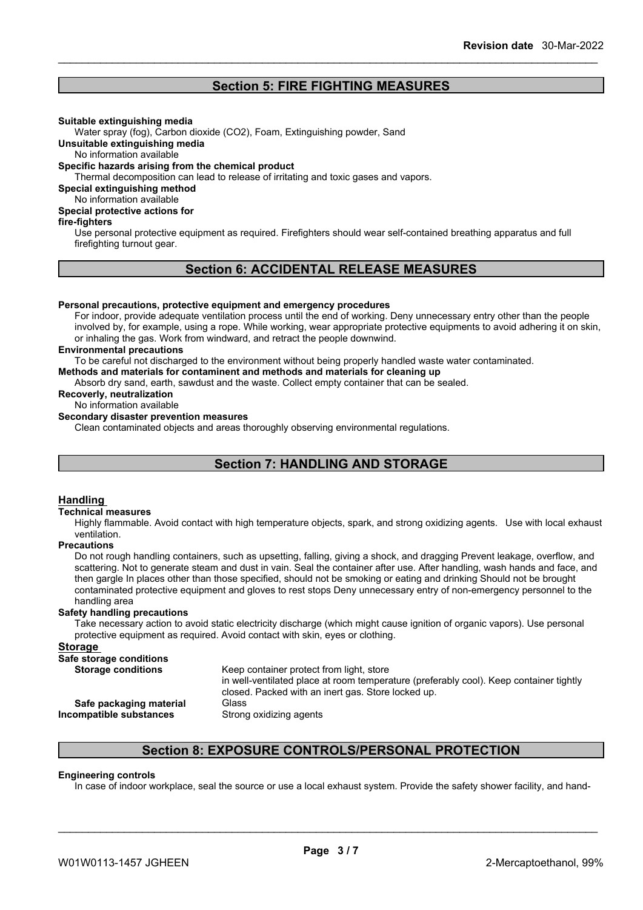# **Section 5: FIRE FIGHTING MEASURES**

#### **Suitable extinguishing media**

Water spray (fog), Carbon dioxide (CO2), Foam, Extinguishing powder, Sand

**Unsuitable extinguishing media**

No information available

#### **Specific hazards arising from the chemical product**

Thermal decomposition can lead to release of irritating and toxic gases and vapors.

**Special extinguishing method**

No information available

# **Special protective actions for**

#### **fire-fighters**

Use personal protective equipment as required.Firefighters should wear self-contained breathing apparatus and full firefighting turnout gear.

# **Section 6: ACCIDENTAL RELEASE MEASURES**

#### **Personal precautions, protective equipment and emergency procedures**

For indoor, provide adequate ventilation process until the end of working. Deny unnecessary entry other than the people involved by, for example, using a rope. While working, wear appropriate protective equipments to avoid adhering it on skin, or inhaling the gas. Work from windward, and retract the people downwind.

#### **Environmental precautions**

To be careful not discharged to the environment without being properly handled waste water contaminated.

**Methods and materials for contaminent and methods and materials for cleaning up**

Absorb dry sand, earth, sawdust and the waste. Collect empty container that can be sealed.

**Recoverly, neutralization**

# No information available

**Secondary disaster prevention measures**

Clean contaminated objects and areas thoroughly observing environmental regulations.

# **Section 7: HANDLING AND STORAGE**

#### **Handling**

#### **Technical measures**

Highly flammable. Avoid contact with high temperature objects, spark, and strong oxidizing agents. Use with local exhaust ventilation.

#### **Precautions**

Do not rough handling containers, such as upsetting, falling, giving a shock, and dragging Prevent leakage, overflow, and scattering. Not to generate steam and dust in vain. Seal the container after use. After handling, wash hands and face, and then gargle In places other than those specified, should not be smoking or eating and drinking Should not be brought contaminated protective equipment and gloves to rest stops Deny unnecessary entry of non-emergency personnel to the handling area

#### **Safety handling precautions**

Take necessary action to avoid static electricity discharge (which might cause ignition of organic vapors). Use personal protective equipment as required. Avoid contact with skin, eyes or clothing.

#### **Storage**

**Safe storage conditions**

| <b>Storage conditions</b> | Keep container protect from light, store<br>in well-ventilated place at room temperature (preferably cool). Keep container tightly<br>closed. Packed with an inert gas. Store locked up. |
|---------------------------|------------------------------------------------------------------------------------------------------------------------------------------------------------------------------------------|
| Safe packaging material   | Glass                                                                                                                                                                                    |
| Incompatible substances   | Strong oxidizing agents                                                                                                                                                                  |

# **Section 8: EXPOSURE CONTROLS/PERSONAL PROTECTION**

#### **Engineering controls**

In case of indoor workplace, seal the source or use a local exhaust system. Provide the safety shower facility, and hand-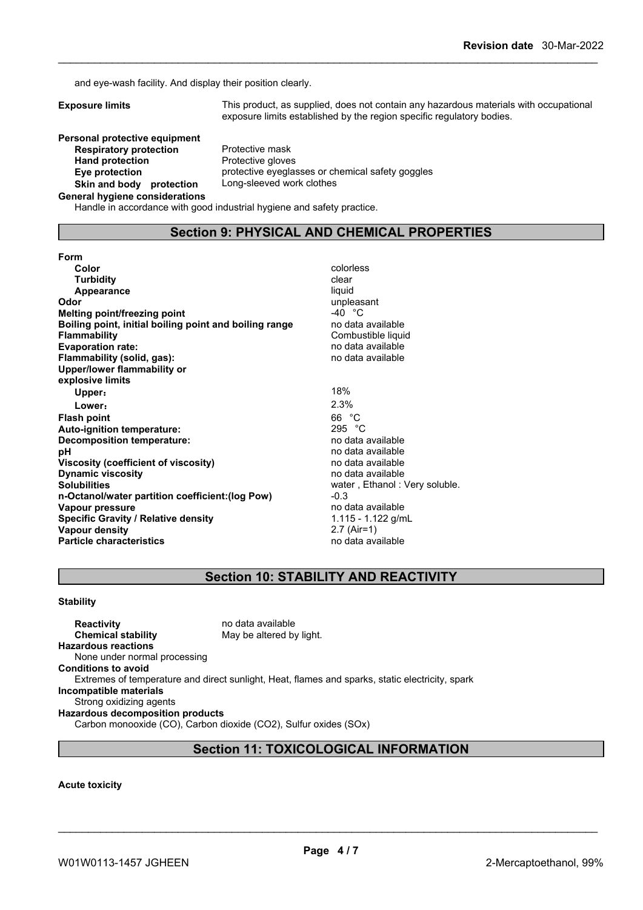and eye-wash facility. And display their position clearly.

|  | <b>Exposure limits</b> |  |
|--|------------------------|--|

**Exposure limits** This product, as supplied, does not contain any hazardous materials with occupational exposure limits established by the region specific regulatory bodies.

**Personal protective equipment Respiratory protection** Protective mask<br> **Hand protection** Protective glove **Skin** and body protection

**Protective gloves Eye protection** protective eyeglasses or chemical safety goggles<br>**Skin and body protection** Long-sleeved work clothes

#### **General hygiene considerations**

Handle in accordance with good industrial hygiene and safety practice.

# **Section 9: PHYSICAL AND CHEMICAL PROPERTIES**

**Form Color** colorless **Color** colorless **colorless Turbidity Clear Appearance** liquid **Odor** unpleasant<br> **Melting point/freezing point**<br> **Melting point/freezing point Melting point/freezing point<br>
<b>Boiling point, initial boiling point and boiling range** and the data available **Boiling** point, initial boiling point and boiling range **Flammability** Combustible liquid **Evaporation rate:** no data available **Flammability (solid, gas):** no data available **Upper/lower flammability or explosive limits Upper:** 18% **Lower:** 2.3% **Flash point** 66 °C **Auto-ignition temperature:** 295 °C **Decomposition temperature:**<br>pH **Viscosity (coefficient of viscosity)** no data available **Dynamic viscosity no data available no data available Solubilities Solubilities water , Ethanol : Very soluble. n-Octanol/water partition coefficient:(log Pow)** -0.3<br> **Vapour pressure** no data available **Vapour** pressure **Specific Gravity / Relative density** 1.115 - 1.122 g/mL **Vapour density** 2.7 (Air=1) **Particle characteristics** no data available

**pH** no data available

# **Section 10: STABILITY AND REACTIVITY**

#### **Stability**

**Reactivity Reactivity Reactivity Chemical stability no data available Chemical stability May be altered by light. Hazardous reactions** None under normal processing **Conditions to avoid** Extremes of temperature and direct sunlight, Heat, flames and sparks, static electricity, spark **Incompatible materials** Strong oxidizing agents **Hazardous decomposition products** Carbon monooxide (CO), Carbon dioxide (CO2), Sulfur oxides (SOx)

# **Section 11: TOXICOLOGICAL INFORMATION**

#### **Acute toxicity**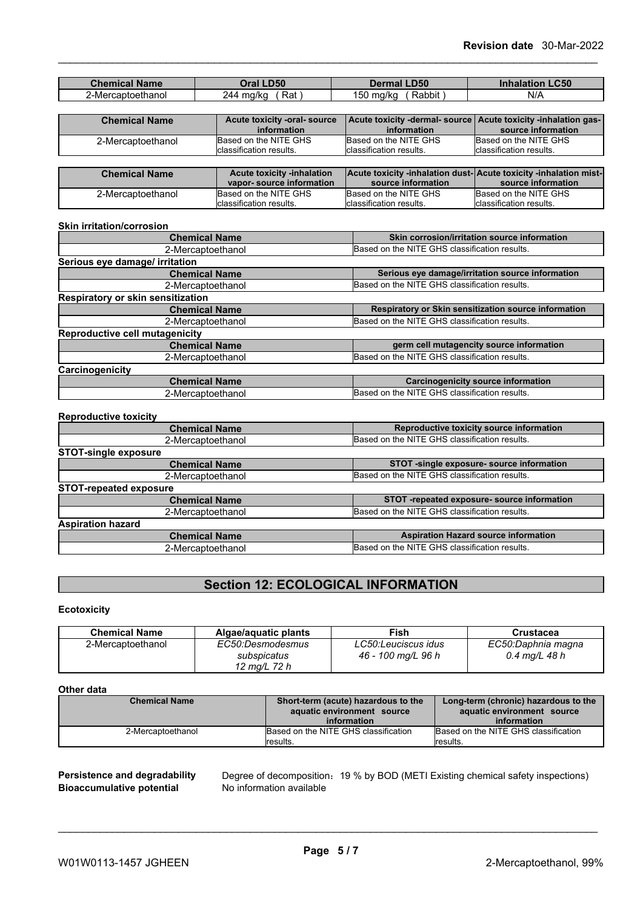| <b>Chemical Name</b> | <b>Oral LD50</b>                  | <b>Dermal LD50</b>                                               | <b>Inhalation LC50</b>   |
|----------------------|-----------------------------------|------------------------------------------------------------------|--------------------------|
| 2-Mercaptoethanol    | Rat \<br>244 mg/kg                | Rabbit)<br>150 mg/kg                                             | N/A                      |
|                      |                                   |                                                                  |                          |
| <b>Chemical Name</b> | Acute toxicity -oral- source      | Acute toxicity -dermal- source   Acute toxicity -inhalation gas- |                          |
|                      | information                       | information                                                      | source information       |
| 2-Mercaptoethanol    | Based on the NITE GHS             | Based on the NITE GHS                                            | Based on the NITE GHS    |
|                      | classification results.           | Iclassification results.                                         | Iclassification results. |
|                      |                                   |                                                                  |                          |
| <b>Chemical Name</b> | <b>Acute toxicity -inhalation</b> | Acute toxicity -inhalation dust-Acute toxicity -inhalation mist- |                          |

| <b>Chemical Name</b> | <b>Acute toxicity -inhalation</b><br>vapor-source information | source information       | <b>Acute toxicity -inhalation dust-Acute toxicity -inhalation mist-</b><br>source information |
|----------------------|---------------------------------------------------------------|--------------------------|-----------------------------------------------------------------------------------------------|
| 2-Mercaptoethanol    | Based on the NITE GHS                                         | Based on the NITE GHS    | Based on the NITE GHS                                                                         |
|                      | Iclassification results.                                      | Iclassification results. | Iclassification results.                                                                      |

#### **Skin irritation/corrosion**

| <b>Chemical Name</b>              | Skin corrosion/irritation source information         |
|-----------------------------------|------------------------------------------------------|
| 2-Mercaptoethanol                 | Based on the NITE GHS classification results.        |
| Serious eye damage/ irritation    |                                                      |
| <b>Chemical Name</b>              | Serious eye damage/irritation source information     |
| 2-Mercaptoethanol                 | Based on the NITE GHS classification results.        |
| Respiratory or skin sensitization |                                                      |
| <b>Chemical Name</b>              | Respiratory or Skin sensitization source information |
| 2-Mercaptoethanol                 | Based on the NITE GHS classification results.        |
| Reproductive cell mutagenicity    |                                                      |
| <b>Chemical Name</b>              | germ cell mutagencity source information             |
| 2-Mercaptoethanol                 | Based on the NITE GHS classification results.        |
| Carcinogenicity                   |                                                      |
| <b>Chemical Name</b>              | <b>Carcinogenicity source information</b>            |
| 2-Mercaptoethanol                 | Based on the NITE GHS classification results.        |

#### **Reproductive toxicity**

| <b>Chemical Name</b>          | Reproductive toxicity source information      |
|-------------------------------|-----------------------------------------------|
| 2-Mercaptoethanol             | Based on the NITE GHS classification results. |
| <b>STOT-single exposure</b>   |                                               |
| <b>Chemical Name</b>          | STOT -single exposure- source information     |
| 2-Mercaptoethanol             | Based on the NITE GHS classification results. |
| <b>STOT-repeated exposure</b> |                                               |
| <b>Chemical Name</b>          | STOT -repeated exposure- source information   |
| 2-Mercaptoethanol             | Based on the NITE GHS classification results. |
| <b>Aspiration hazard</b>      |                                               |
| <b>Chemical Name</b>          | <b>Aspiration Hazard source information</b>   |
| 2-Mercaptoethanol             | Based on the NITE GHS classification results. |

# **Section 12: ECOLOGICAL INFORMATION**

### **Ecotoxicity**

| <b>Chemical Name</b> | Algae/aquatic plants                            | Fish                                      | Crustacea                             |
|----------------------|-------------------------------------------------|-------------------------------------------|---------------------------------------|
| 2-Mercaptoethanol    | EC50:Desmodesmus<br>subspicatus<br>12 ma/L 72 h | LC50:Leuciscus idus<br>46 - 100 mg/L 96 h | EC50:Daphnia magna<br>$0.4$ mg/L 48 h |

#### **Other data**

| <b>Chemical Name</b> | Short-term (acute) hazardous to the  | Long-term (chronic) hazardous to the |
|----------------------|--------------------------------------|--------------------------------------|
|                      | aquatic environment source           | aquatic environment source           |
|                      | information                          | information                          |
| 2-Mercaptoethanol    | Based on the NITE GHS classification | Based on the NITE GHS classification |
|                      | <i><b>Iresults.</b></i>              | lresults.                            |

**Bioaccumulative potential** 

**Persistence and degradability** Degree of decomposition: 19 % by BOD (METI Existing chemical safety inspections)<br>**Bioaccumulative potential** No information available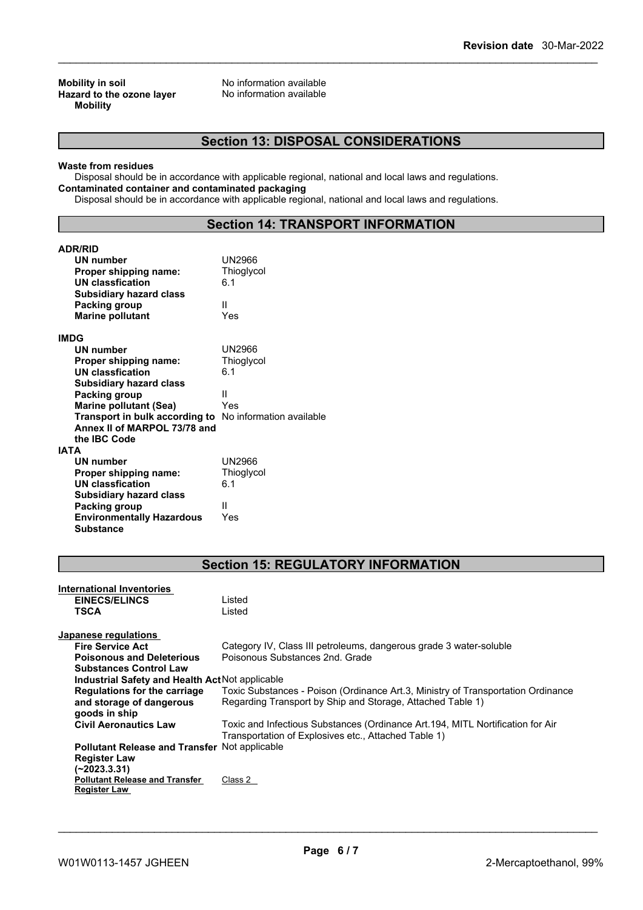**Mobility in soil**<br> **Hazard to the ozone laver** Mo information available<br>
No information available **Hazard** to the ozone layer **Mobility**

# **Section 13: DISPOSAL CONSIDERATIONS**

#### **Waste from residues**

Disposal should be in accordance with applicable regional, national and local laws and regulations. **Contaminated container and contaminated packaging**

Disposal should be in accordance with applicable regional, national and local laws and regulations.

# **Section 14: TRANSPORT INFORMATION**

| <b>ADR/RID</b>                                               |                                                                                  |
|--------------------------------------------------------------|----------------------------------------------------------------------------------|
| UN number                                                    | <b>UN2966</b>                                                                    |
| Proper shipping name:                                        | Thioglycol                                                                       |
| <b>UN</b> classfication                                      | 6.1                                                                              |
| <b>Subsidiary hazard class</b>                               |                                                                                  |
| Packing group                                                | Ш                                                                                |
| <b>Marine pollutant</b>                                      | Yes                                                                              |
|                                                              |                                                                                  |
| <b>IMDG</b>                                                  |                                                                                  |
| <b>UN number</b>                                             | <b>UN2966</b>                                                                    |
| Proper shipping name:                                        | Thioglycol                                                                       |
| <b>UN classfication</b>                                      | 6.1                                                                              |
| <b>Subsidiary hazard class</b>                               |                                                                                  |
| <b>Packing group</b>                                         | Ш                                                                                |
| <b>Marine pollutant (Sea)</b>                                | Yes                                                                              |
| Transport in bulk according to No information available      |                                                                                  |
| Annex II of MARPOL 73/78 and                                 |                                                                                  |
| the IBC Code                                                 |                                                                                  |
| <b>IATA</b>                                                  |                                                                                  |
| UN number                                                    | <b>UN2966</b>                                                                    |
| Proper shipping name:                                        | Thioglycol                                                                       |
| <b>UN classfication</b>                                      | 6.1                                                                              |
| <b>Subsidiary hazard class</b>                               |                                                                                  |
| Packing group                                                | Ш                                                                                |
| <b>Environmentally Hazardous</b>                             | Yes                                                                              |
| <b>Substance</b>                                             |                                                                                  |
|                                                              |                                                                                  |
|                                                              |                                                                                  |
|                                                              |                                                                                  |
|                                                              |                                                                                  |
|                                                              | <b>Section 15: REGULATORY INFORMATION</b>                                        |
|                                                              |                                                                                  |
| International Inventories                                    |                                                                                  |
| <b>EINECS/ELINCS</b>                                         | Listed                                                                           |
| <b>TSCA</b>                                                  | Listed                                                                           |
|                                                              |                                                                                  |
| Japanese regulations                                         |                                                                                  |
| <b>Fire Service Act</b>                                      | Category IV, Class III petroleums, dangerous grade 3 water-soluble               |
| <b>Poisonous and Deleterious</b>                             | Poisonous Substances 2nd, Grade                                                  |
| <b>Substances Control Law</b>                                |                                                                                  |
| Industrial Safety and Health Act Not applicable              |                                                                                  |
| Regulations for the carriage                                 | Toxic Substances - Poison (Ordinance Art.3, Ministry of Transportation Ordinance |
| and storage of dangerous                                     | Regarding Transport by Ship and Storage, Attached Table 1)                       |
| goods in ship                                                |                                                                                  |
| <b>Civil Aeronautics Law</b>                                 | Toxic and Infectious Substances (Ordinance Art.194, MITL Nortification for Air   |
|                                                              | Transportation of Explosives etc., Attached Table 1)                             |
| Pollutant Release and Transfer Not applicable                |                                                                                  |
| <b>Register Law</b>                                          |                                                                                  |
| $(-2023.3.31)$                                               |                                                                                  |
| <b>Pollutant Release and Transfer</b><br><b>Register Law</b> | Class 2                                                                          |